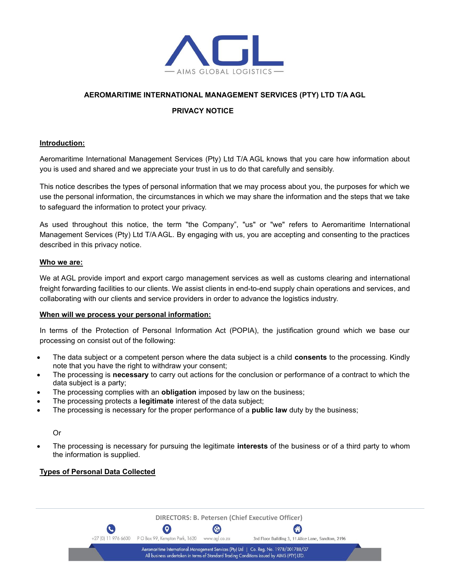

### **AEROMARITIME INTERNATIONAL MANAGEMENT SERVICES (PTY) LTD T/A AGL**

### **PRIVACY NOTICE**

#### **Introduction:**

Aeromaritime International Management Services (Pty) Ltd T/A AGL knows that you care how information about you is used and shared and we appreciate your trust in us to do that carefully and sensibly.

This notice describes the types of personal information that we may process about you, the purposes for which we use the personal information, the circumstances in which we may share the information and the steps that we take to safeguard the information to protect your privacy.

As used throughout this notice, the term "the Company", "us" or "we" refers to Aeromaritime International Management Services (Pty) Ltd T/A AGL. By engaging with us, you are accepting and consenting to the practices described in this privacy notice.

#### **Who we are:**

We at AGL provide import and export cargo management services as well as customs clearing and international freight forwarding facilities to our clients. We assist clients in end-to-end supply chain operations and services, and collaborating with our clients and service providers in order to advance the logistics industry.

#### **When will we process your personal information:**

In terms of the Protection of Personal Information Act (POPIA), the justification ground which we base our processing on consist out of the following:

- The data subject or a competent person where the data subject is a child **consents** to the processing. Kindly note that you have the right to withdraw your consent;
- The processing is **necessary** to carry out actions for the conclusion or performance of a contract to which the data subject is a party;
- The processing complies with an **obligation** imposed by law on the business;
- The processing protects a **legitimate** interest of the data subject;
- The processing is necessary for the proper performance of a **public law** duty by the business;

#### Or

• The processing is necessary for pursuing the legitimate **interests** of the business or of a third party to whom the information is supplied.

#### **Types of Personal Data Collected**

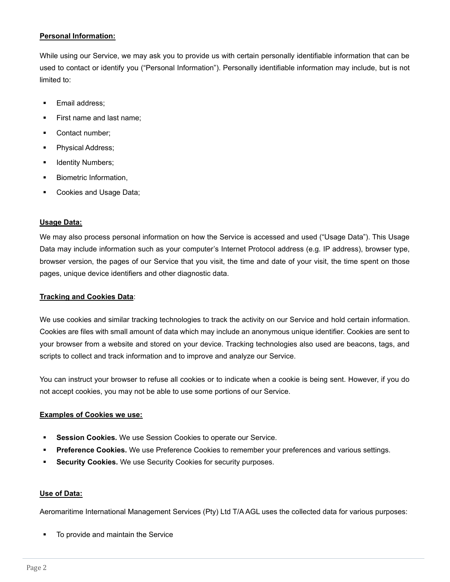# **Personal Information:**

While using our Service, we may ask you to provide us with certain personally identifiable information that can be used to contact or identify you ("Personal Information"). Personally identifiable information may include, but is not limited to:

- Email address:
- First name and last name;
- Contact number;
- Physical Address;
- **■** Identity Numbers;
- **■** Biometric Information,
- Cookies and Usage Data;

### **Usage Data:**

We may also process personal information on how the Service is accessed and used ("Usage Data"). This Usage Data may include information such as your computer's Internet Protocol address (e.g. IP address), browser type, browser version, the pages of our Service that you visit, the time and date of your visit, the time spent on those pages, unique device identifiers and other diagnostic data.

### **Tracking and Cookies Data**:

We use cookies and similar tracking technologies to track the activity on our Service and hold certain information. Cookies are files with small amount of data which may include an anonymous unique identifier. Cookies are sent to your browser from a website and stored on your device. Tracking technologies also used are beacons, tags, and scripts to collect and track information and to improve and analyze our Service.

You can instruct your browser to refuse all cookies or to indicate when a cookie is being sent. However, if you do not accept cookies, you may not be able to use some portions of our Service.

### **Examples of Cookies we use:**

- **Session Cookies.** We use Session Cookies to operate our Service.
- **Preference Cookies.** We use Preference Cookies to remember your preferences and various settings.
- **Security Cookies.** We use Security Cookies for security purposes.

### **Use of Data:**

Aeromaritime International Management Services (Pty) Ltd T/A AGL uses the collected data for various purposes:

■ To provide and maintain the Service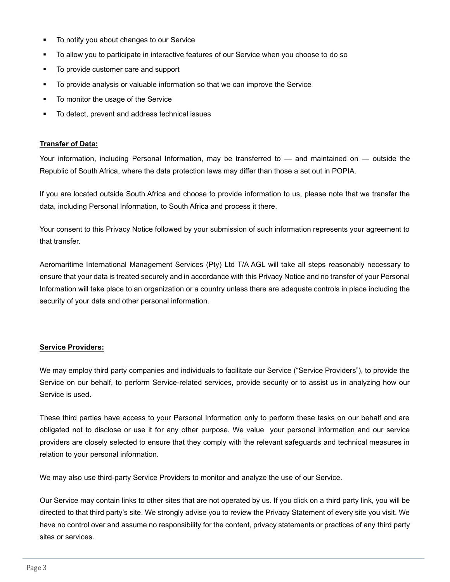- To notify you about changes to our Service
- To allow you to participate in interactive features of our Service when you choose to do so
- To provide customer care and support
- To provide analysis or valuable information so that we can improve the Service
- To monitor the usage of the Service
- To detect, prevent and address technical issues

### **Transfer of Data:**

Your information, including Personal Information, may be transferred to — and maintained on — outside the Republic of South Africa, where the data protection laws may differ than those a set out in POPIA.

If you are located outside South Africa and choose to provide information to us, please note that we transfer the data, including Personal Information, to South Africa and process it there.

Your consent to this Privacy Notice followed by your submission of such information represents your agreement to that transfer.

Aeromaritime International Management Services (Pty) Ltd T/A AGL will take all steps reasonably necessary to ensure that your data is treated securely and in accordance with this Privacy Notice and no transfer of your Personal Information will take place to an organization or a country unless there are adequate controls in place including the security of your data and other personal information.

# **Service Providers:**

We may employ third party companies and individuals to facilitate our Service ("Service Providers"), to provide the Service on our behalf, to perform Service-related services, provide security or to assist us in analyzing how our Service is used.

These third parties have access to your Personal Information only to perform these tasks on our behalf and are obligated not to disclose or use it for any other purpose. We value your personal information and our service providers are closely selected to ensure that they comply with the relevant safeguards and technical measures in relation to your personal information.

We may also use third-party Service Providers to monitor and analyze the use of our Service.

Our Service may contain links to other sites that are not operated by us. If you click on a third party link, you will be directed to that third party's site. We strongly advise you to review the Privacy Statement of every site you visit. We have no control over and assume no responsibility for the content, privacy statements or practices of any third party sites or services.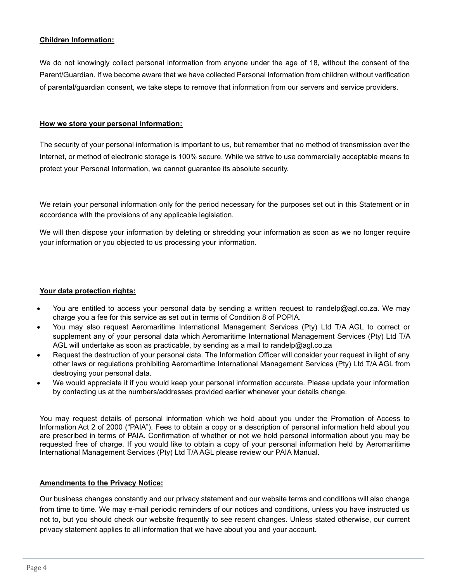# **Children Information:**

We do not knowingly collect personal information from anyone under the age of 18, without the consent of the Parent/Guardian. If we become aware that we have collected Personal Information from children without verification of parental/guardian consent, we take steps to remove that information from our servers and service providers.

### **How we store your personal information:**

The security of your personal information is important to us, but remember that no method of transmission over the Internet, or method of electronic storage is 100% secure. While we strive to use commercially acceptable means to protect your Personal Information, we cannot guarantee its absolute security.

We retain your personal information only for the period necessary for the purposes set out in this Statement or in accordance with the provisions of any applicable legislation.

We will then dispose your information by deleting or shredding your information as soon as we no longer require your information or you objected to us processing your information.

# **Your data protection rights:**

- You are entitled to access your personal data by sending a written request to randelp@agl.co.za. We may charge you a fee for this service as set out in terms of Condition 8 of POPIA.
- You may also request Aeromaritime International Management Services (Pty) Ltd T/A AGL to correct or supplement any of your personal data which Aeromaritime International Management Services (Pty) Ltd T/A AGL will undertake as soon as practicable, by sending as a mail to randelp@agl.co.za
- Request the destruction of your personal data. The Information Officer will consider your request in light of any other laws or regulations prohibiting Aeromaritime International Management Services (Pty) Ltd T/A AGL from destroying your personal data.
- We would appreciate it if you would keep your personal information accurate. Please update your information by contacting us at the numbers/addresses provided earlier whenever your details change.

You may request details of personal information which we hold about you under the Promotion of Access to Information Act 2 of 2000 ("PAIA"). Fees to obtain a copy or a description of personal information held about you are prescribed in terms of PAIA. Confirmation of whether or not we hold personal information about you may be requested free of charge. If you would like to obtain a copy of your personal information held by Aeromaritime International Management Services (Pty) Ltd T/AAGL please review our PAIA Manual.

### **Amendments to the Privacy Notice:**

Our business changes constantly and our privacy statement and our website terms and conditions will also change from time to time. We may e-mail periodic reminders of our notices and conditions, unless you have instructed us not to, but you should check our website frequently to see recent changes. Unless stated otherwise, our current privacy statement applies to all information that we have about you and your account.